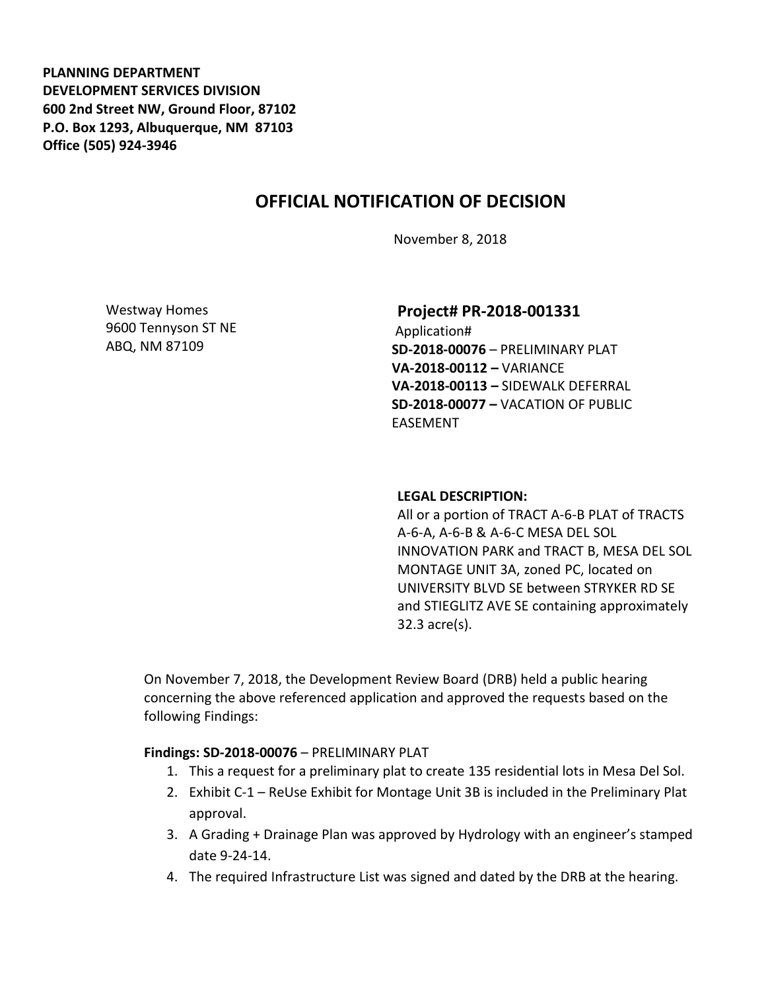**PLANNING DEPARTMENT DEVELOPMENT SERVICES DIVISION 600 2nd Street NW, Ground Floor, 87102 P.O. Box 1293, Albuquerque, NM 87103 Office (505) 924-3946** 

# **OFFICIAL NOTIFICATION OF DECISION**

November 8, 2018

Westway Homes 9600 Tennyson ST NE ABQ, NM 87109

**Project# PR-2018-001331**

Application# **SD-2018-00076** – PRELIMINARY PLAT **VA-2018-00112 –** VARIANCE **VA-2018-00113 –** SIDEWALK DEFERRAL **SD-2018-00077 –** VACATION OF PUBLIC EASEMENT

#### **LEGAL DESCRIPTION:**

All or a portion of TRACT A-6-B PLAT of TRACTS A-6-A, A-6-B & A-6-C MESA DEL SOL INNOVATION PARK and TRACT B, MESA DEL SOL MONTAGE UNIT 3A, zoned PC, located on UNIVERSITY BLVD SE between STRYKER RD SE and STIEGLITZ AVE SE containing approximately 32.3 acre(s).

On November 7, 2018, the Development Review Board (DRB) held a public hearing concerning the above referenced application and approved the requests based on the following Findings:

#### **Findings: SD-2018-00076** – PRELIMINARY PLAT

- 1. This a request for a preliminary plat to create 135 residential lots in Mesa Del Sol.
- 2. Exhibit C-1 ReUse Exhibit for Montage Unit 3B is included in the Preliminary Plat approval.
- 3. A Grading + Drainage Plan was approved by Hydrology with an engineer's stamped date 9-24-14.
- 4. The required Infrastructure List was signed and dated by the DRB at the hearing.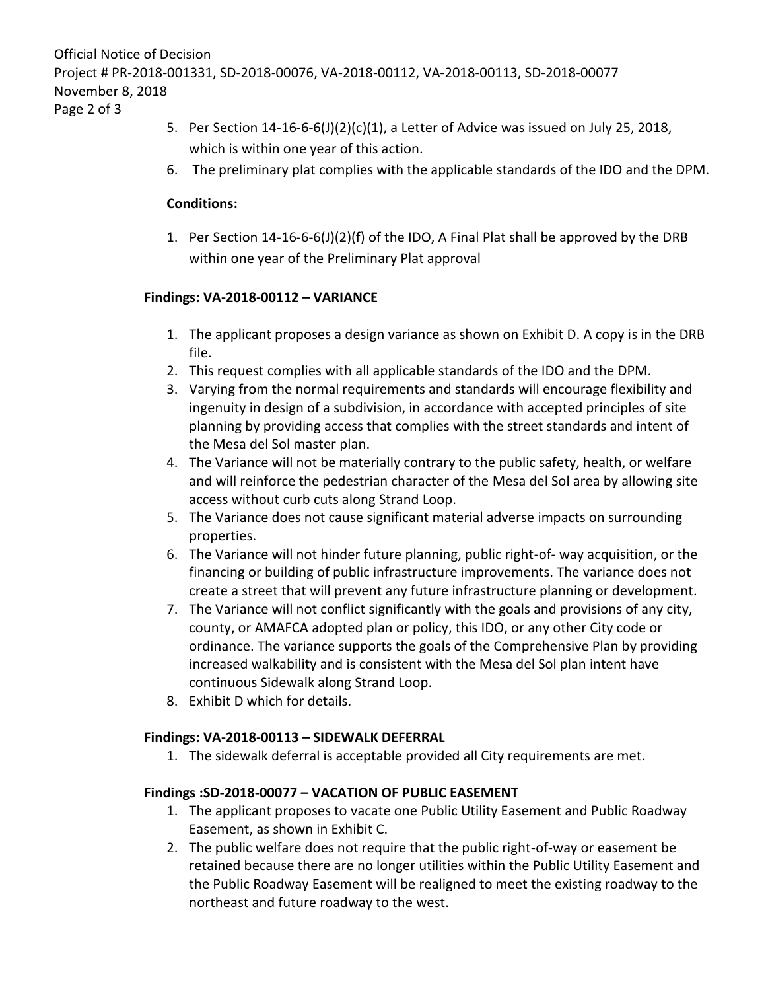Page 2 of 3

- 5. Per Section 14-16-6-6(J)(2)(c)(1), a Letter of Advice was issued on July 25, 2018, which is within one year of this action.
- 6. The preliminary plat complies with the applicable standards of the IDO and the DPM.

### **Conditions:**

1. Per Section 14-16-6-6(J)(2)(f) of the IDO, A Final Plat shall be approved by the DRB within one year of the Preliminary Plat approval

## **Findings: VA-2018-00112 – VARIANCE**

- 1. The applicant proposes a design variance as shown on Exhibit D. A copy is in the DRB file.
- 2. This request complies with all applicable standards of the IDO and the DPM.
- 3. Varying from the normal requirements and standards will encourage flexibility and ingenuity in design of a subdivision, in accordance with accepted principles of site planning by providing access that complies with the street standards and intent of the Mesa del Sol master plan.
- 4. The Variance will not be materially contrary to the public safety, health, or welfare and will reinforce the pedestrian character of the Mesa del Sol area by allowing site access without curb cuts along Strand Loop.
- 5. The Variance does not cause significant material adverse impacts on surrounding properties.
- 6. The Variance will not hinder future planning, public right-of- way acquisition, or the financing or building of public infrastructure improvements. The variance does not create a street that will prevent any future infrastructure planning or development.
- 7. The Variance will not conflict significantly with the goals and provisions of any city, county, or AMAFCA adopted plan or policy, this IDO, or any other City code or ordinance. The variance supports the goals of the Comprehensive Plan by providing increased walkability and is consistent with the Mesa del Sol plan intent have continuous Sidewalk along Strand Loop.
- 8. Exhibit D which for details.

### **Findings: VA-2018-00113 – SIDEWALK DEFERRAL**

1. The sidewalk deferral is acceptable provided all City requirements are met.

### **Findings :SD-2018-00077 – VACATION OF PUBLIC EASEMENT**

- 1. The applicant proposes to vacate one Public Utility Easement and Public Roadway Easement, as shown in Exhibit C.
- 2. The public welfare does not require that the public right-of-way or easement be retained because there are no longer utilities within the Public Utility Easement and the Public Roadway Easement will be realigned to meet the existing roadway to the northeast and future roadway to the west.